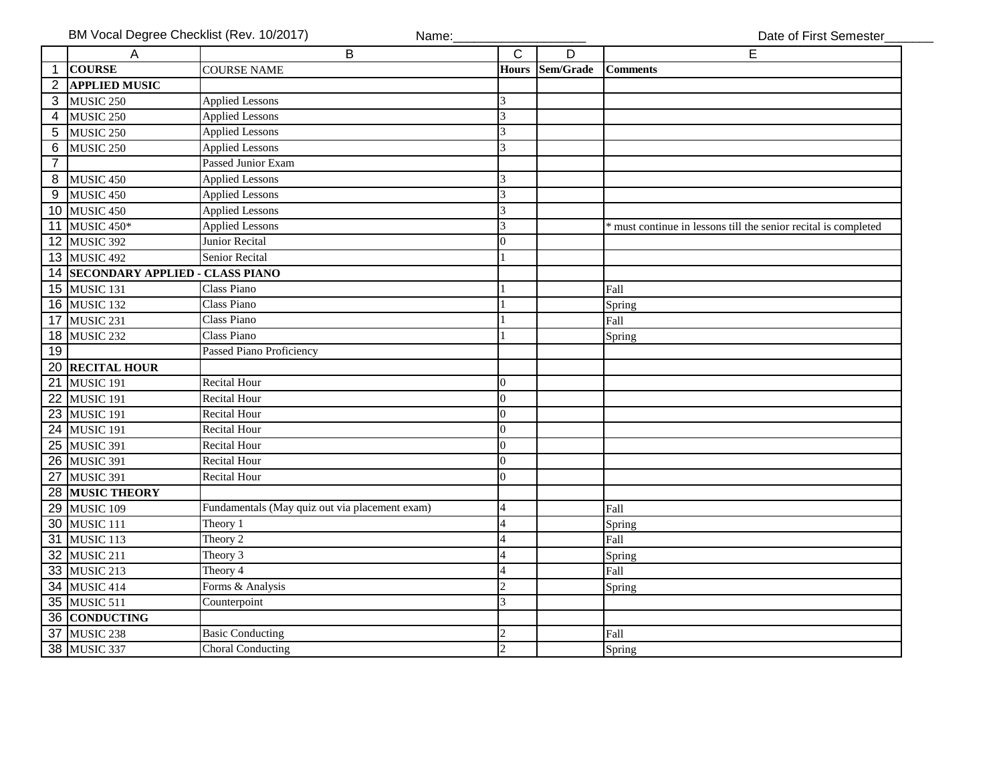|                | A                                      | B                                              | $\overline{c}$           | $\overline{D}$ | $\overline{E}$                                                |
|----------------|----------------------------------------|------------------------------------------------|--------------------------|----------------|---------------------------------------------------------------|
| $\mathbf{1}$   | <b>COURSE</b>                          | <b>COURSE NAME</b>                             | <b>Hours</b>             | Sem/Grade      | <b>Comments</b>                                               |
| $\overline{2}$ | <b>APPLIED MUSIC</b>                   |                                                |                          |                |                                                               |
| 3              | MUSIC <sub>250</sub>                   | <b>Applied Lessons</b>                         | 3                        |                |                                                               |
| 4              | MUSIC <sub>250</sub>                   | <b>Applied Lessons</b>                         | 3                        |                |                                                               |
| 5              | MUSIC <sub>250</sub>                   | <b>Applied Lessons</b>                         | 3                        |                |                                                               |
| 6              | <b>MUSIC 250</b>                       | <b>Applied Lessons</b>                         | 3                        |                |                                                               |
| $\overline{7}$ |                                        | <b>Passed Junior Exam</b>                      |                          |                |                                                               |
| 8              | MUSIC <sub>450</sub>                   | <b>Applied Lessons</b>                         | 3                        |                |                                                               |
| 9              | MUSIC <sub>450</sub>                   | <b>Applied Lessons</b>                         | 3                        |                |                                                               |
| 10             | MUSIC <sub>450</sub>                   | <b>Applied Lessons</b>                         | 3                        |                |                                                               |
| 11             | MUSIC 450*                             | <b>Applied Lessons</b>                         | 3                        |                | must continue in lessons till the senior recital is completed |
| 12             | MUSIC 392                              | Junior Recital                                 | $\overline{0}$           |                |                                                               |
|                | 13 MUSIC 492                           | <b>Senior Recital</b>                          |                          |                |                                                               |
| 14             | <b>SECONDARY APPLIED - CLASS PIANO</b> |                                                |                          |                |                                                               |
|                | <b>15 MUSIC 131</b>                    | <b>Class Piano</b>                             |                          |                | Fall                                                          |
| 16             | MUSIC 132                              | <b>Class Piano</b>                             |                          |                | Spring                                                        |
| 17             | MUSIC 231                              | <b>Class Piano</b>                             |                          |                | Fall                                                          |
| 18             | MUSIC 232                              | Class Piano                                    |                          |                | Spring                                                        |
| 19             |                                        | Passed Piano Proficiency                       |                          |                |                                                               |
| 20             | <b>RECITAL HOUR</b>                    |                                                |                          |                |                                                               |
| 21             | MUSIC 191                              | <b>Recital Hour</b>                            | $\Omega$                 |                |                                                               |
| 22             | MUSIC 191                              | <b>Recital Hour</b>                            | $\overline{0}$           |                |                                                               |
| 23             | MUSIC 191                              | <b>Recital Hour</b>                            | $\overline{0}$           |                |                                                               |
| 24             | MUSIC 191                              | <b>Recital Hour</b>                            | $\overline{0}$           |                |                                                               |
| 25             | MUSIC 391                              | <b>Recital Hour</b>                            | $\overline{0}$           |                |                                                               |
| 26             | MUSIC 391                              | <b>Recital Hour</b>                            | $\Omega$                 |                |                                                               |
| 27             | MUSIC 391                              | <b>Recital Hour</b>                            | $\Omega$                 |                |                                                               |
| 28             | <b>MUSIC THEORY</b>                    |                                                |                          |                |                                                               |
| 29             | MUSIC <sub>109</sub>                   | Fundamentals (May quiz out via placement exam) | $\overline{4}$           |                | Fall                                                          |
| 30             | MUSIC 111                              | Theory 1                                       | 4                        |                | Spring                                                        |
| 31             | MUSIC 113                              | Theory 2                                       | $\overline{\mathcal{L}}$ |                | Fall                                                          |
| 32             | MUSIC 211                              | Theory 3                                       | $\overline{4}$           |                | Spring                                                        |
| 33             | MUSIC 213                              | Theory 4                                       | $\overline{\mathcal{L}}$ |                | Fall                                                          |
| 34             | MUSIC 414                              | Forms & Analysis                               | $\overline{c}$           |                | Spring                                                        |
|                | 35 MUSIC 511                           | Counterpoint                                   | 3                        |                |                                                               |
| 36             | <b>CONDUCTING</b>                      |                                                |                          |                |                                                               |
| 37             | MUSIC 238                              | <b>Basic Conducting</b>                        | $\overline{c}$           |                | Fall                                                          |
|                | 38 MUSIC 337                           | <b>Choral Conducting</b>                       | $\overline{2}$           |                | Spring                                                        |